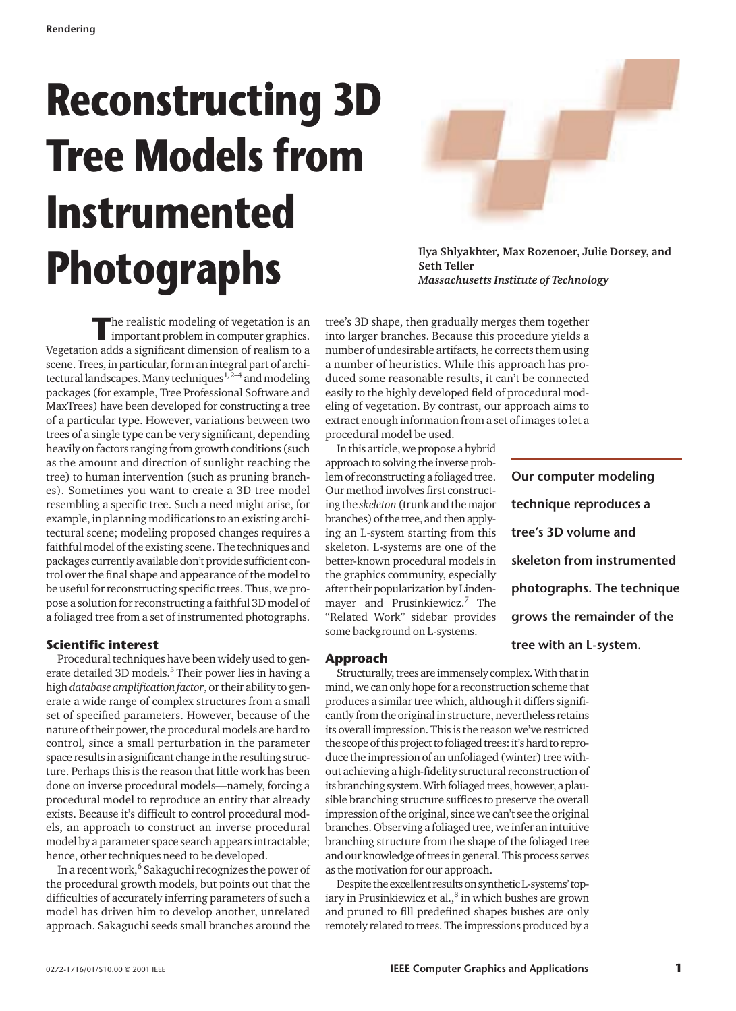# **Reconstructing 3D Tree Models from Instrumented Photographs**

**T**he realistic modeling of vegetation is an important problem in computer graphics. Vegetation adds a significant dimension of realism to a scene. Trees, in particular, form an integral part of architectural landscapes. Many techniques<sup>1,2-4</sup> and modeling packages (for example, Tree Professional Software and MaxTrees) have been developed for constructing a tree of a particular type. However, variations between two trees of a single type can be very significant, depending heavily on factors ranging from growth conditions (such as the amount and direction of sunlight reaching the tree) to human intervention (such as pruning branches). Sometimes you want to create a 3D tree model resembling a specific tree. Such a need might arise, for example, in planning modifications to an existing architectural scene; modeling proposed changes requires a faithful model of the existing scene. The techniques and packages currently available don't provide sufficient control over the final shape and appearance of the model to be useful for reconstructing specific trees. Thus, we propose a solution for reconstructing a faithful 3D model of a foliaged tree from a set of instrumented photographs.

# **Scientific interest**

Procedural techniques have been widely used to generate detailed 3D models.<sup>5</sup> Their power lies in having a high *database amplification factor*, or their ability to generate a wide range of complex structures from a small set of specified parameters. However, because of the nature of their power, the procedural models are hard to control, since a small perturbation in the parameter space results in a significant change in the resulting structure. Perhaps this is the reason that little work has been done on inverse procedural models—namely, forcing a procedural model to reproduce an entity that already exists. Because it's difficult to control procedural models, an approach to construct an inverse procedural model by a parameter space search appears intractable; hence, other techniques need to be developed.

In a recent work,<sup>6</sup> Sakaguchi recognizes the power of the procedural growth models, but points out that the difficulties of accurately inferring parameters of such a model has driven him to develop another, unrelated approach. Sakaguchi seeds small branches around the



**Ilya Shlyakhter***,* **Max Rozenoer, Julie Dorsey, and Seth Teller** *Massachusetts Institute of Technology*

tree's 3D shape, then gradually merges them together into larger branches. Because this procedure yields a number of undesirable artifacts, he corrects them using a number of heuristics. While this approach has produced some reasonable results, it can't be connected easily to the highly developed field of procedural modeling of vegetation. By contrast, our approach aims to extract enough information from a set of images to let a procedural model be used.

In this article, we propose a hybrid approach to solving the inverse problem of reconstructing a foliaged tree. Our method involves first constructing the *skeleton*(trunk and the major branches) of the tree, and then applying an L-system starting from this skeleton. L-systems are one of the better-known procedural models in the graphics community, especially after their popularization by Lindenmayer and Prusinkiewicz.<sup>7</sup> The "Related Work" sidebar provides some background on L-systems.

**Our computer modeling technique reproduces a tree's 3D volume and skeleton from instrumented photographs. The technique grows the remainder of the tree with an L-system.**

# **Approach**

Structurally, trees are immensely complex. With that in mind, we can only hope for a reconstruction scheme that produces a similar tree which, although it differs significantly from the original in structure, nevertheless retains its overall impression. This is the reason we've restricted the scope of this project to foliaged trees: it's hard to reproduce the impression of an unfoliaged (winter) tree without achieving a high-fidelity structural reconstruction of its branching system. With foliaged trees, however, a plausible branching structure suffices to preserve the overall impression of the original, since we can't see the original branches. Observing a foliaged tree, we infer an intuitive branching structure from the shape of the foliaged tree and our knowledge of trees in general. This process serves as the motivation for our approach.

Despite the excellent results on synthetic L-systems' topiary in Prusinkiewicz et al., $^8$  in which bushes are grown and pruned to fill predefined shapes bushes are only remotely related to trees. The impressions produced by a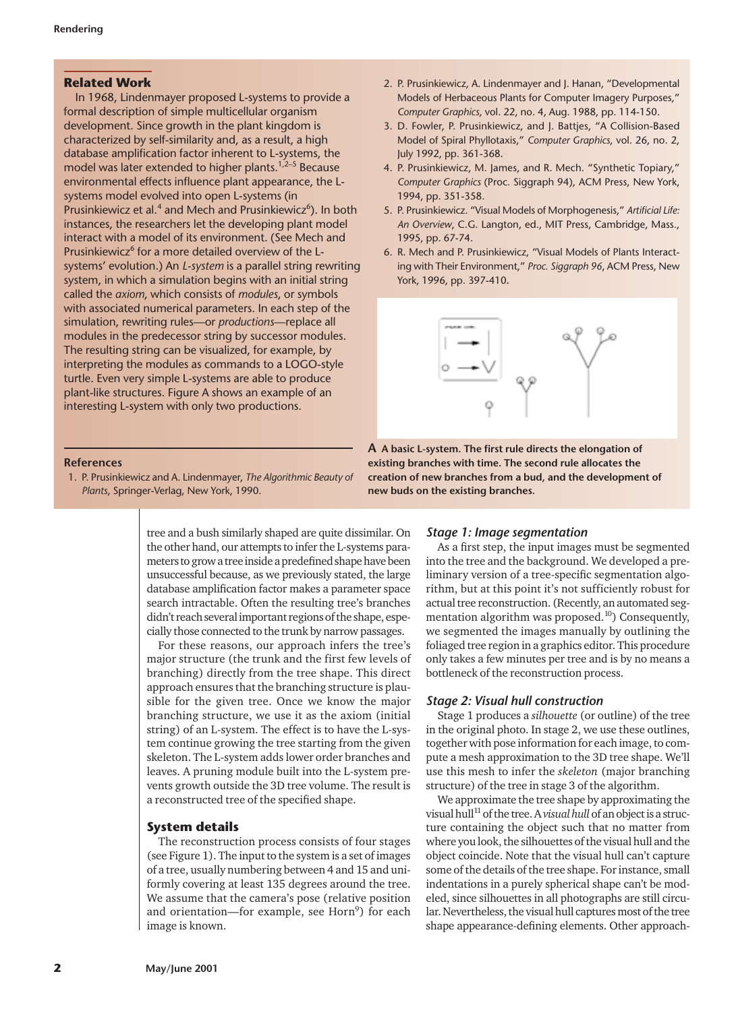# **Related Work**

In 1968, Lindenmayer proposed L-systems to provide a formal description of simple multicellular organism development. Since growth in the plant kingdom is characterized by self-similarity and, as a result, a high database amplification factor inherent to L-systems, the model was later extended to higher plants.<sup>1,2-5</sup> Because environmental effects influence plant appearance, the Lsystems model evolved into open L-systems (in Prusinkiewicz et al.<sup>4</sup> and Mech and Prusinkiewicz<sup>6</sup>). In both instances, the researchers let the developing plant model interact with a model of its environment. (See Mech and Prusinkiewicz<sup>6</sup> for a more detailed overview of the Lsystems' evolution.) An *L-system* is a parallel string rewriting system, in which a simulation begins with an initial string called the *axiom*, which consists of *modules*, or symbols with associated numerical parameters. In each step of the simulation, rewriting rules—or *productions*—replace all modules in the predecessor string by successor modules. The resulting string can be visualized, for example, by interpreting the modules as commands to a LOGO-style turtle. Even very simple L-systems are able to produce plant-like structures. Figure A shows an example of an interesting L-system with only two productions.

### **References**

1. P. Prusinkiewicz and A. Lindenmayer, *The Algorithmic Beauty of Plants*, Springer-Verlag, New York, 1990.

> tree and a bush similarly shaped are quite dissimilar. On the other hand, our attempts to infer the L-systems parameters to grow a tree inside a predefined shape have been unsuccessful because, as we previously stated, the large database amplification factor makes a parameter space search intractable. Often the resulting tree's branches didn't reach several important regions of the shape, especially those connected to the trunk by narrow passages.

> For these reasons, our approach infers the tree's major structure (the trunk and the first few levels of branching) directly from the tree shape. This direct approach ensures that the branching structure is plausible for the given tree. Once we know the major branching structure, we use it as the axiom (initial string) of an L-system. The effect is to have the L-system continue growing the tree starting from the given skeleton. The L-system adds lower order branches and leaves. A pruning module built into the L-system prevents growth outside the 3D tree volume. The result is a reconstructed tree of the specified shape.

# **System details**

The reconstruction process consists of four stages (see Figure 1). The input to the system is a set of images of a tree, usually numbering between 4 and 15 and uniformly covering at least 135 degrees around the tree. We assume that the camera's pose (relative position and orientation—for example, see Horn<sup>9</sup>) for each image is known.

- 2. P. Prusinkiewicz, A. Lindenmayer and J. Hanan, "Developmental Models of Herbaceous Plants for Computer Imagery Purposes," *Computer Graphics*, vol. 22, no. 4, Aug. 1988, pp. 114-150.
- 3. D. Fowler, P. Prusinkiewicz, and J. Battjes, "A Collision-Based Model of Spiral Phyllotaxis," *Computer Graphics*, vol. 26, no. 2, July 1992, pp. 361-368.
- 4. P. Prusinkiewicz, M. James, and R. Mech. "Synthetic Topiary," *Computer Graphics* (Proc*.* Siggraph 94), ACM Press, New York, 1994, pp. 351-358.
- 5. P. Prusinkiewicz. "Visual Models of Morphogenesis," *Artificial Life: An Overview*, C.G. Langton, ed., MIT Press, Cambridge, Mass., 1995, pp. 67-74.
- 6. R. Mech and P. Prusinkiewicz, "Visual Models of Plants Interacting with Their Environment," *Proc. Siggraph 96*, ACM Press, New York, 1996, pp. 397-410**.**



**A A basic L-system. The first rule directs the elongation of existing branches with time. The second rule allocates the creation of new branches from a bud, and the development of new buds on the existing branches.**

# *Stage 1: Image segmentation*

As a first step, the input images must be segmented into the tree and the background. We developed a preliminary version of a tree-specific segmentation algorithm, but at this point it's not sufficiently robust for actual tree reconstruction. (Recently, an automated segmentation algorithm was proposed.<sup>10</sup>) Consequently, we segmented the images manually by outlining the foliaged tree region in a graphics editor. This procedure only takes a few minutes per tree and is by no means a bottleneck of the reconstruction process.

# *Stage 2: Visual hull construction*

Stage 1 produces a *silhouette* (or outline) of the tree in the original photo. In stage 2, we use these outlines, together with pose information for each image, to compute a mesh approximation to the 3D tree shape. We'll use this mesh to infer the *skeleton* (major branching structure) of the tree in stage 3 of the algorithm.

We approximate the tree shape by approximating the visual hull<sup>11</sup> of the tree. A *visual hull* of an object is a structure containing the object such that no matter from where you look, the silhouettes of the visual hull and the object coincide. Note that the visual hull can't capture some of the details of the tree shape. For instance, small indentations in a purely spherical shape can't be modeled, since silhouettes in all photographs are still circular. Nevertheless, the visual hull captures most of the tree shape appearance-defining elements. Other approach-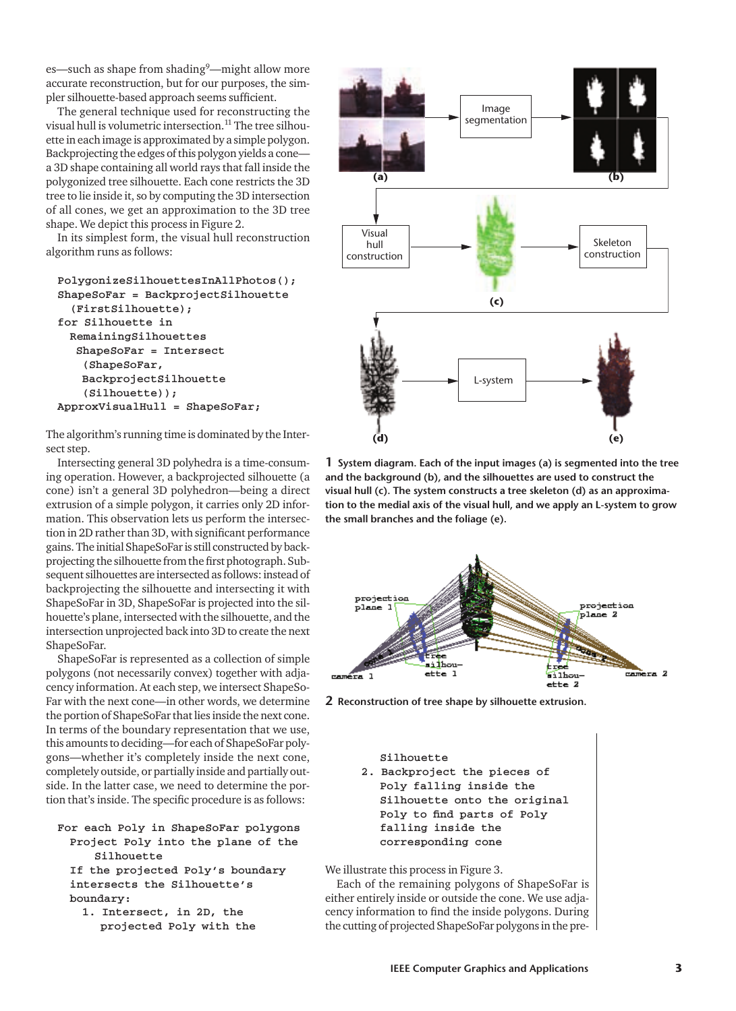es—such as shape from shading<sup>9</sup>—might allow more accurate reconstruction, but for our purposes, the simpler silhouette-based approach seems sufficient.

The general technique used for reconstructing the visual hull is volumetric intersection.<sup>11</sup> The tree silhouette in each image is approximated by a simple polygon. Backprojecting the edges of this polygon yields a cone a 3D shape containing all world rays that fall inside the polygonized tree silhouette. Each cone restricts the 3D tree to lie inside it, so by computing the 3D intersection of all cones, we get an approximation to the 3D tree shape. We depict this process in Figure 2.

In its simplest form, the visual hull reconstruction algorithm runs as follows:

```
PolygonizeSilhouettesInAllPhotos();
ShapeSoFar = BackprojectSilhouette
  (FirstSilhouette);
for Silhouette in
 RemainingSilhouettes
  ShapeSoFar = Intersect
    (ShapeSoFar,
   BackprojectSilhouette
    (Silhouette));
ApproxVisualHull = ShapeSoFar;
```
The algorithm's running time is dominated by the Intersect step.

Intersecting general 3D polyhedra is a time-consuming operation. However, a backprojected silhouette (a cone) isn't a general 3D polyhedron—being a direct extrusion of a simple polygon, it carries only 2D information. This observation lets us perform the intersection in 2D rather than 3D, with significant performance gains. The initial ShapeSoFar is still constructed by backprojecting the silhouette from the first photograph. Subsequent silhouettes are intersected as follows: instead of backprojecting the silhouette and intersecting it with ShapeSoFar in 3D, ShapeSoFar is projected into the silhouette's plane, intersected with the silhouette, and the intersection unprojected back into 3D to create the next ShapeSoFar.

ShapeSoFar is represented as a collection of simple polygons (not necessarily convex) together with adjacency information. At each step, we intersect ShapeSo-Far with the next cone—in other words, we determine the portion of ShapeSoFar that lies inside the next cone. In terms of the boundary representation that we use, this amounts to deciding—for each of ShapeSoFar polygons—whether it's completely inside the next cone, completely outside, or partially inside and partially outside. In the latter case, we need to determine the portion that's inside. The specific procedure is as follows:

```
For each Poly in ShapeSoFar polygons
 Project Poly into the plane of the
     Silhouette
```

```
If the projected Poly's boundary
intersects the Silhouette's
boundary:
```
1. Intersect, in 2D, the projected Poly with the



**1 System diagram. Each of the input images (a) is segmented into the tree and the background (b), and the silhouettes are used to construct the visual hull (c). The system constructs a tree skeleton (d) as an approximation to the medial axis of the visual hull, and we apply an L-system to grow the small branches and the foliage (e).**



**2 Reconstruction of tree shape by silhouette extrusion.**



2. Backproject the pieces of Poly falling inside the Silhouette onto the original Poly to find parts of Poly falling inside the corresponding cone

We illustrate this process in Figure 3.

Each of the remaining polygons of ShapeSoFar is either entirely inside or outside the cone. We use adjacency information to find the inside polygons. During the cutting of projected ShapeSoFar polygons in the pre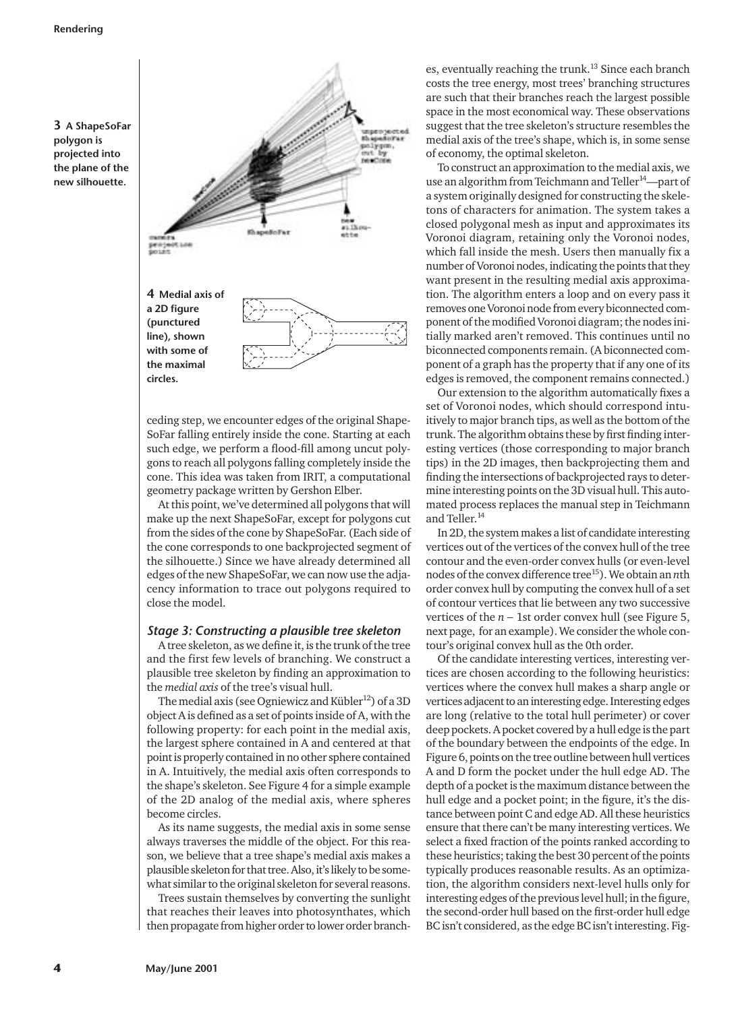**3 A ShapeSoFar polygon is projected into the plane of the new silhouette.**



ceding step, we encounter edges of the original Shape-SoFar falling entirely inside the cone. Starting at each such edge, we perform a flood-fill among uncut polygons to reach all polygons falling completely inside the cone. This idea was taken from IRIT, a computational geometry package written by Gershon Elber.

At this point, we've determined all polygons that will make up the next ShapeSoFar, except for polygons cut from the sides of the cone by ShapeSoFar. (Each side of the cone corresponds to one backprojected segment of the silhouette.) Since we have already determined all edges of the new ShapeSoFar, we can now use the adjacency information to trace out polygons required to close the model.

# *Stage 3: Constructing a plausible tree skeleton*

A tree skeleton, as we define it, is the trunk of the tree and the first few levels of branching. We construct a plausible tree skeleton by finding an approximation to the *medial axis* of the tree's visual hull.

The medial axis (see Ogniewicz and Kübler<sup>12</sup>) of a 3D object A is defined as a set of points inside of A, with the following property: for each point in the medial axis, the largest sphere contained in A and centered at that point is properly contained in no other sphere contained in A. Intuitively, the medial axis often corresponds to the shape's skeleton. See Figure 4 for a simple example of the 2D analog of the medial axis, where spheres become circles.

As its name suggests, the medial axis in some sense always traverses the middle of the object. For this reason, we believe that a tree shape's medial axis makes a plausible skeleton for that tree. Also, it's likely to be somewhat similar to the original skeleton for several reasons.

Trees sustain themselves by converting the sunlight that reaches their leaves into photosynthates, which then propagate from higher order to lower order branches, eventually reaching the trunk.<sup>13</sup> Since each branch costs the tree energy, most trees' branching structures are such that their branches reach the largest possible space in the most economical way. These observations suggest that the tree skeleton's structure resembles the medial axis of the tree's shape, which is, in some sense of economy, the optimal skeleton.

To construct an approximation to the medial axis, we use an algorithm from Teichmann and Teller<sup>14</sup>—part of a system originally designed for constructing the skeletons of characters for animation. The system takes a closed polygonal mesh as input and approximates its Voronoi diagram, retaining only the Voronoi nodes, which fall inside the mesh. Users then manually fix a number of Voronoi nodes, indicating the points that they want present in the resulting medial axis approximation. The algorithm enters a loop and on every pass it removes one Voronoi node from every biconnected component of the modified Voronoi diagram; the nodes initially marked aren't removed. This continues until no biconnected components remain. (A biconnected component of a graph has the property that if any one of its edges is removed, the component remains connected.)

Our extension to the algorithm automatically fixes a set of Voronoi nodes, which should correspond intuitively to major branch tips, as well as the bottom of the trunk. The algorithm obtains these by first finding interesting vertices (those corresponding to major branch tips) in the 2D images, then backprojecting them and finding the intersections of backprojected rays to determine interesting points on the 3D visual hull. This automated process replaces the manual step in Teichmann and Teller.<sup>14</sup>

In 2D, the system makes a list of candidate interesting vertices out of the vertices of the convex hull of the tree contour and the even-order convex hulls (or even-level nodes of the convex difference tree15). We obtain an *n*th order convex hull by computing the convex hull of a set of contour vertices that lie between any two successive vertices of the *n* − 1st order convex hull (see Figure 5, next page, for an example). We consider the whole contour's original convex hull as the 0th order.

Of the candidate interesting vertices, interesting vertices are chosen according to the following heuristics: vertices where the convex hull makes a sharp angle or vertices adjacent to an interesting edge. Interesting edges are long (relative to the total hull perimeter) or cover deep pockets. A pocket covered by a hull edge is the part of the boundary between the endpoints of the edge. In Figure 6, points on the tree outline between hull vertices A and D form the pocket under the hull edge AD. The depth of a pocket is the maximum distance between the hull edge and a pocket point; in the figure, it's the distance between point C and edge AD. All these heuristics ensure that there can't be many interesting vertices. We select a fixed fraction of the points ranked according to these heuristics; taking the best 30 percent of the points typically produces reasonable results. As an optimization, the algorithm considers next-level hulls only for interesting edges of the previous level hull; in the figure, the second-order hull based on the first-order hull edge BC isn't considered, as the edge BC isn't interesting. Fig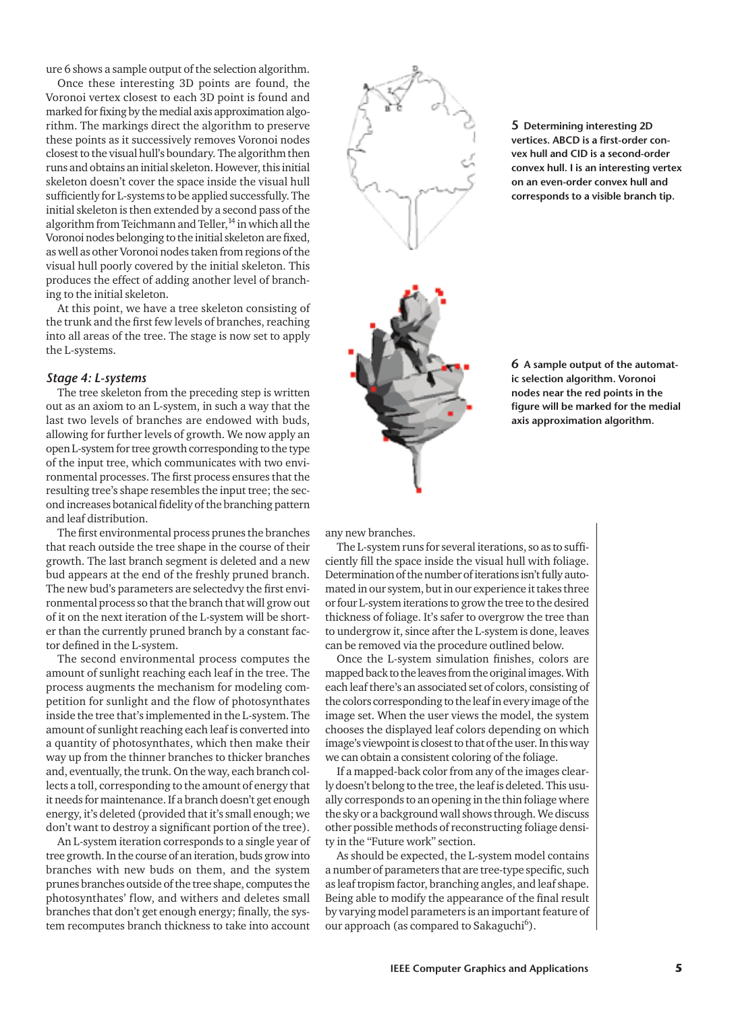ure 6 shows a sample output of the selection algorithm.

Once these interesting 3D points are found, the Voronoi vertex closest to each 3D point is found and marked for fixing by the medial axis approximation algorithm. The markings direct the algorithm to preserve these points as it successively removes Voronoi nodes closest to the visual hull's boundary. The algorithm then runs and obtains an initial skeleton. However, this initial skeleton doesn't cover the space inside the visual hull sufficiently for L-systems to be applied successfully. The initial skeleton is then extended by a second pass of the algorithm from Teichmann and Teller,<sup>14</sup> in which all the Voronoi nodes belonging to the initial skeleton are fixed, as well as other Voronoi nodes taken from regions of the visual hull poorly covered by the initial skeleton. This produces the effect of adding another level of branching to the initial skeleton.

At this point, we have a tree skeleton consisting of the trunk and the first few levels of branches, reaching into all areas of the tree. The stage is now set to apply the L-systems.

# *Stage 4: L-systems*

The tree skeleton from the preceding step is written out as an axiom to an L-system, in such a way that the last two levels of branches are endowed with buds, allowing for further levels of growth. We now apply an open L-system for tree growth corresponding to the type of the input tree, which communicates with two environmental processes. The first process ensures that the resulting tree's shape resembles the input tree; the second increases botanical fidelity of the branching pattern and leaf distribution.

The first environmental process prunes the branches that reach outside the tree shape in the course of their growth. The last branch segment is deleted and a new bud appears at the end of the freshly pruned branch. The new bud's parameters are selectedvy the first environmental process so that the branch that will grow out of it on the next iteration of the L-system will be shorter than the currently pruned branch by a constant factor defined in the L-system.

The second environmental process computes the amount of sunlight reaching each leaf in the tree. The process augments the mechanism for modeling competition for sunlight and the flow of photosynthates inside the tree that's implemented in the L-system. The amount of sunlight reaching each leaf is converted into a quantity of photosynthates, which then make their way up from the thinner branches to thicker branches and, eventually, the trunk. On the way, each branch collects a toll, corresponding to the amount of energy that it needs for maintenance. If a branch doesn't get enough energy, it's deleted (provided that it's small enough; we don't want to destroy a significant portion of the tree).

An L-system iteration corresponds to a single year of tree growth. In the course of an iteration, buds grow into branches with new buds on them, and the system prunes branches outside of the tree shape, computes the photosynthates' flow, and withers and deletes small branches that don't get enough energy; finally, the system recomputes branch thickness to take into account





**6 A sample output of the automatic selection algorithm. Voronoi nodes near the red points in the figure will be marked for the medial axis approximation algorithm.**

any new branches.

The L-system runs for several iterations, so as to sufficiently fill the space inside the visual hull with foliage. Determination of the number of iterations isn't fully automated in our system, but in our experience it takes three or four L-system iterations to grow the tree to the desired thickness of foliage. It's safer to overgrow the tree than to undergrow it, since after the L-system is done, leaves can be removed via the procedure outlined below.

Once the L-system simulation finishes, colors are mapped back to the leaves from the original images. With each leaf there's an associated set of colors, consisting of the colors corresponding to the leaf in every image of the image set. When the user views the model, the system chooses the displayed leaf colors depending on which image's viewpoint is closest to that of the user. In this way we can obtain a consistent coloring of the foliage.

If a mapped-back color from any of the images clearly doesn't belong to the tree, the leaf is deleted. This usually corresponds to an opening in the thin foliage where the sky or a background wall shows through. We discuss other possible methods of reconstructing foliage density in the "Future work" section.

As should be expected, the L-system model contains a number of parameters that are tree-type specific, such as leaf tropism factor, branching angles, and leaf shape. Being able to modify the appearance of the final result by varying model parameters is an important feature of our approach (as compared to Sakaguchi<sup>6</sup>).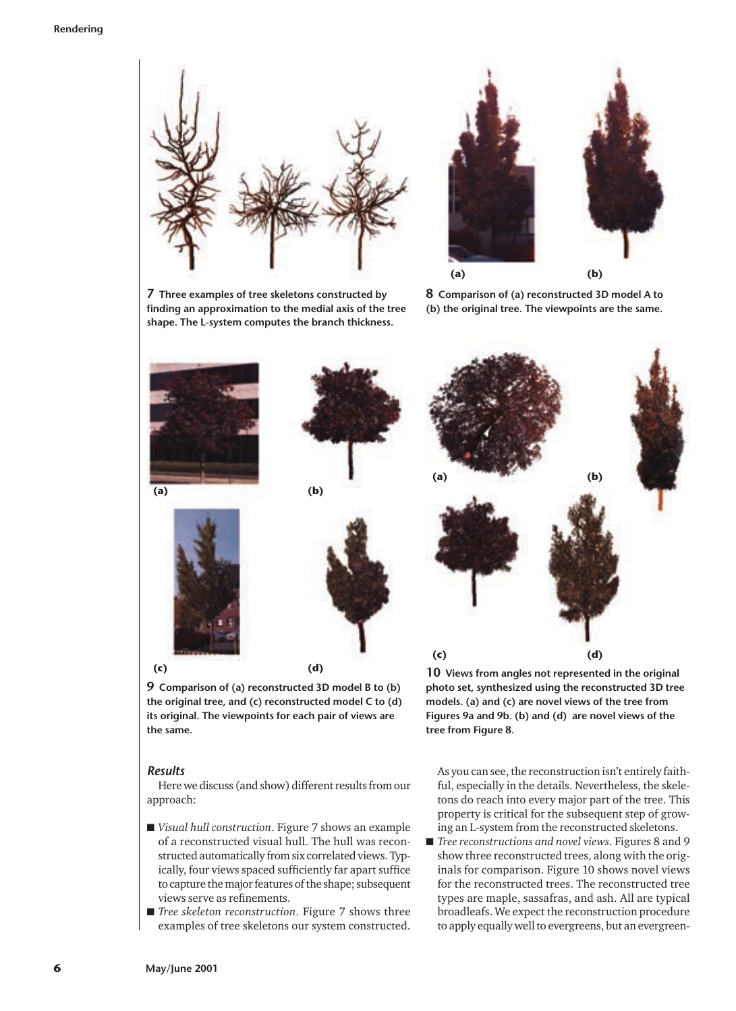

**7 Three examples of tree skeletons constructed by finding an approximation to the medial axis of the tree shape. The L-system computes the branch thickness.**



**8 Comparison of (a) reconstructed 3D model A to (b) the original tree. The viewpoints are the same.**



**9 Comparison of (a) reconstructed 3D model B to (b) the original tree, and (c) reconstructed model C to (d) its original. The viewpoints for each pair of views are the same.**

# *Results*

Here we discuss (and show) different results from our approach:

- *Visual hull construction*. Figure 7 shows an example of a reconstructed visual hull. The hull was reconstructed automatically from six correlated views. Typically, four views spaced sufficiently far apart suffice to capture the major features of the shape; subsequent views serve as refinements.
- *Tree skeleton reconstruction*. Figure 7 shows three examples of tree skeletons our system constructed.

**photo set, synthesized using the reconstructed 3D tree models. (a) and (c) are novel views of the tree from Figures 9a and 9b. (b) and (d) are novel views of the tree from Figure 8.**

As you can see, the reconstruction isn't entirely faithful, especially in the details. Nevertheless, the skeletons do reach into every major part of the tree. This property is critical for the subsequent step of growing an L-system from the reconstructed skeletons.

■ *Tree reconstructions and novel views*. Figures 8 and 9 show three reconstructed trees, along with the originals for comparison. Figure 10 shows novel views for the reconstructed trees. The reconstructed tree types are maple, sassafras, and ash. All are typical broadleafs. We expect the reconstruction procedure to apply equally well to evergreens, but an evergreen-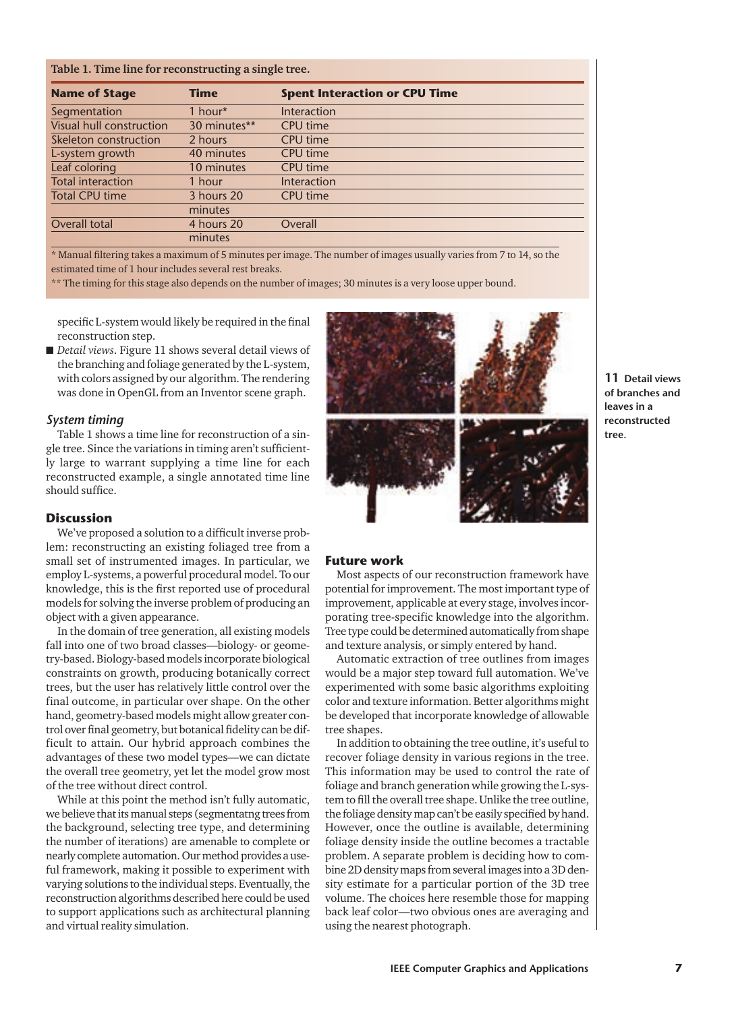| Table 1. Time line for reconstructing a single tree. |              |                                      |  |
|------------------------------------------------------|--------------|--------------------------------------|--|
| <b>Name of Stage</b>                                 | <b>Time</b>  | <b>Spent Interaction or CPU Time</b> |  |
| Segmentation                                         | 1 hour $*$   | Interaction                          |  |
| <b>Visual hull construction</b>                      | 30 minutes** | CPU time                             |  |
| Skeleton construction                                | 2 hours      | CPU time                             |  |
| L-system growth                                      | 40 minutes   | CPU time                             |  |
| Leaf coloring                                        | 10 minutes   | CPU time                             |  |
| <b>Total interaction</b>                             | 1 hour       | Interaction                          |  |
| <b>Total CPU time</b>                                | 3 hours 20   | CPU time                             |  |
|                                                      | minutes      |                                      |  |
| <b>Overall total</b>                                 | 4 hours 20   | Overall                              |  |
|                                                      | minutes      |                                      |  |

\* Manual filtering takes a maximum of 5 minutes per image. The number of images usually varies from 7 to 14, so the estimated time of 1 hour includes several rest breaks.

\*\* The timing for this stage also depends on the number of images; 30 minutes is a very loose upper bound.

specific L-system would likely be required in the final reconstruction step.

■ *Detail views*. Figure 11 shows several detail views of the branching and foliage generated by the L-system, with colors assigned by our algorithm. The rendering was done in OpenGL from an Inventor scene graph.

# *System timing*

Table 1 shows a time line for reconstruction of a single tree. Since the variations in timing aren't sufficiently large to warrant supplying a time line for each reconstructed example, a single annotated time line should suffice.

# **Discussion**

We've proposed a solution to a difficult inverse problem: reconstructing an existing foliaged tree from a small set of instrumented images. In particular, we employ L-systems, a powerful procedural model. To our knowledge, this is the first reported use of procedural models for solving the inverse problem of producing an object with a given appearance.

In the domain of tree generation, all existing models fall into one of two broad classes—biology- or geometry-based. Biology-based models incorporate biological constraints on growth, producing botanically correct trees, but the user has relatively little control over the final outcome, in particular over shape. On the other hand, geometry-based models might allow greater control over final geometry, but botanical fidelity can be difficult to attain. Our hybrid approach combines the advantages of these two model types—we can dictate the overall tree geometry, yet let the model grow most of the tree without direct control.

While at this point the method isn't fully automatic, we believe that its manual steps (segmentatng trees from the background, selecting tree type, and determining the number of iterations) are amenable to complete or nearly complete automation. Our method provides a useful framework, making it possible to experiment with varying solutions to the individual steps. Eventually, the reconstruction algorithms described here could be used to support applications such as architectural planning and virtual reality simulation.





**11 Detail views of branches and leaves in a reconstructed tree.**

# **Future work**

Most aspects of our reconstruction framework have potential for improvement. The most important type of improvement, applicable at every stage, involves incorporating tree-specific knowledge into the algorithm. Tree type could be determined automatically from shape and texture analysis, or simply entered by hand.

Automatic extraction of tree outlines from images would be a major step toward full automation. We've experimented with some basic algorithms exploiting color and texture information. Better algorithms might be developed that incorporate knowledge of allowable tree shapes.

In addition to obtaining the tree outline, it's useful to recover foliage density in various regions in the tree. This information may be used to control the rate of foliage and branch generation while growing the L-system to fill the overall tree shape. Unlike the tree outline, the foliage density map can't be easily specified by hand. However, once the outline is available, determining foliage density inside the outline becomes a tractable problem. A separate problem is deciding how to combine 2D density maps from several images into a 3D density estimate for a particular portion of the 3D tree volume. The choices here resemble those for mapping back leaf color—two obvious ones are averaging and using the nearest photograph.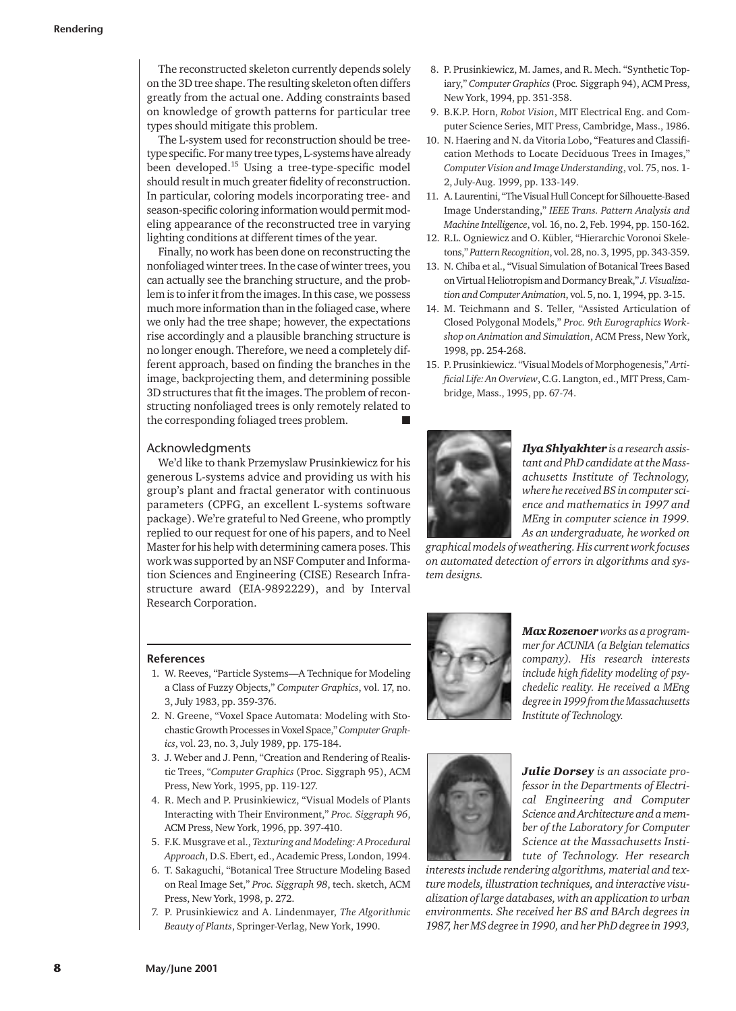The reconstructed skeleton currently depends solely on the 3D tree shape. The resulting skeleton often differs greatly from the actual one. Adding constraints based on knowledge of growth patterns for particular tree types should mitigate this problem.

The L-system used for reconstruction should be treetype specific. For many tree types, L-systems have already been developed.<sup>15</sup> Using a tree-type-specific model should result in much greater fidelity of reconstruction. In particular, coloring models incorporating tree- and season-specific coloring information would permit modeling appearance of the reconstructed tree in varying lighting conditions at different times of the year.

Finally, no work has been done on reconstructing the nonfoliaged winter trees. In the case of winter trees, you can actually see the branching structure, and the problem is to infer it from the images. In this case, we possess much more information than in the foliaged case, where we only had the tree shape; however, the expectations rise accordingly and a plausible branching structure is no longer enough. Therefore, we need a completely different approach, based on finding the branches in the image, backprojecting them, and determining possible 3D structures that fit the images. The problem of reconstructing nonfoliaged trees is only remotely related to the corresponding foliaged trees problem.

# Acknowledgments

We'd like to thank Przemyslaw Prusinkiewicz for his generous L-systems advice and providing us with his group's plant and fractal generator with continuous parameters (CPFG, an excellent L-systems software package). We're grateful to Ned Greene, who promptly replied to our request for one of his papers, and to Neel Master for his help with determining camera poses. This work was supported by an NSF Computer and Information Sciences and Engineering (CISE) Research Infrastructure award (EIA-9892229), and by Interval Research Corporation.

### **References**

- 1. W. Reeves, "Particle Systems—A Technique for Modeling a Class of Fuzzy Objects," *Computer Graphics*, vol. 17, no. 3, July 1983, pp. 359-376.
- 2. N. Greene, "Voxel Space Automata: Modeling with Stochastic Growth Processes in Voxel Space," *Computer Graphics*, vol. 23, no. 3, July 1989, pp. 175-184.
- 3. J. Weber and J. Penn, "Creation and Rendering of Realistic Trees, "*Computer Graphics* (Proc. Siggraph 95), ACM Press, New York, 1995, pp. 119-127.
- 4. R. Mech and P. Prusinkiewicz, "Visual Models of Plants Interacting with Their Environment," *Proc. Siggraph 96*, ACM Press, New York, 1996, pp. 397-410.
- 5. F.K. Musgrave et al., *Texturing and Modeling: A Procedural Approach*, D.S. Ebert, ed., Academic Press, London, 1994.
- 6. T. Sakaguchi, "Botanical Tree Structure Modeling Based on Real Image Set," *Proc. Siggraph 98*, tech. sketch, ACM Press, New York, 1998, p. 272.
- 7. P. Prusinkiewicz and A. Lindenmayer, *The Algorithmic Beauty of Plants*, Springer-Verlag, New York, 1990.
- 8. P. Prusinkiewicz, M. James, and R. Mech. "Synthetic Topiary," *Computer Graphics* (Proc*.* Siggraph 94), ACM Press, New York, 1994, pp. 351-358.
- 9. B.K.P. Horn, *Robot Vision*, MIT Electrical Eng. and Computer Science Series, MIT Press, Cambridge, Mass., 1986.
- 10. N. Haering and N. da Vitoria Lobo, "Features and Classification Methods to Locate Deciduous Trees in Images," *Computer Vision and Image Understanding*, vol. 75, nos. 1- 2, July-Aug. 1999, pp. 133-149.
- 11. A. Laurentini, "The Visual Hull Concept for Silhouette-Based Image Understanding," *IEEE Trans. Pattern Analysis and Machine Intelligence*, vol. 16, no. 2, Feb. 1994, pp. 150-162.
- 12. R.L. Ogniewicz and O. Kübler, "Hierarchic Voronoi Skeletons," *Pattern Recognition*, vol. 28, no. 3, 1995, pp. 343-359.
- 13. N. Chiba et al., "Visual Simulation of Botanical Trees Based on Virtual Heliotropism and Dormancy Break," *J. Visualization and Computer Animation*, vol. 5, no. 1, 1994, pp. 3-15.
- 14. M. Teichmann and S. Teller, "Assisted Articulation of Closed Polygonal Models," *Proc. 9th Eurographics Workshop on Animation and Simulation*, ACM Press, New York, 1998, pp. 254-268.
- 15. P. Prusinkiewicz. "Visual Models of Morphogenesis," *Artificial Life: An Overview*, C.G. Langton, ed., MIT Press, Cambridge, Mass., 1995, pp. 67-74.



*Ilya Shlyakhter is a research assistant and PhD candidate at the Massachusetts Institute of Technology, where he received BS in computer science and mathematics in 1997 and MEng in computer science in 1999. As an undergraduate, he worked on*

*graphical models of weathering. His current work focuses on automated detection of errors in algorithms and system designs.*



*Max Rozenoer works as a programmer for ACUNIA (a Belgian telematics company). His research interests include high fidelity modeling of psychedelic reality. He received a MEng degree in 1999 from the Massachusetts Institute of Technology.*



*Julie Dorsey is an associate professor in the Departments of Electrical Engineering and Computer Science and Architecture and a member of the Laboratory for Computer Science at the Massachusetts Institute of Technology. Her research*

*interests include rendering algorithms, material and texture models, illustration techniques, and interactive visualization of large databases, with an application to urban environments. She received her BS and BArch degrees in 1987, her MS degree in 1990, and her PhD degree in 1993,*